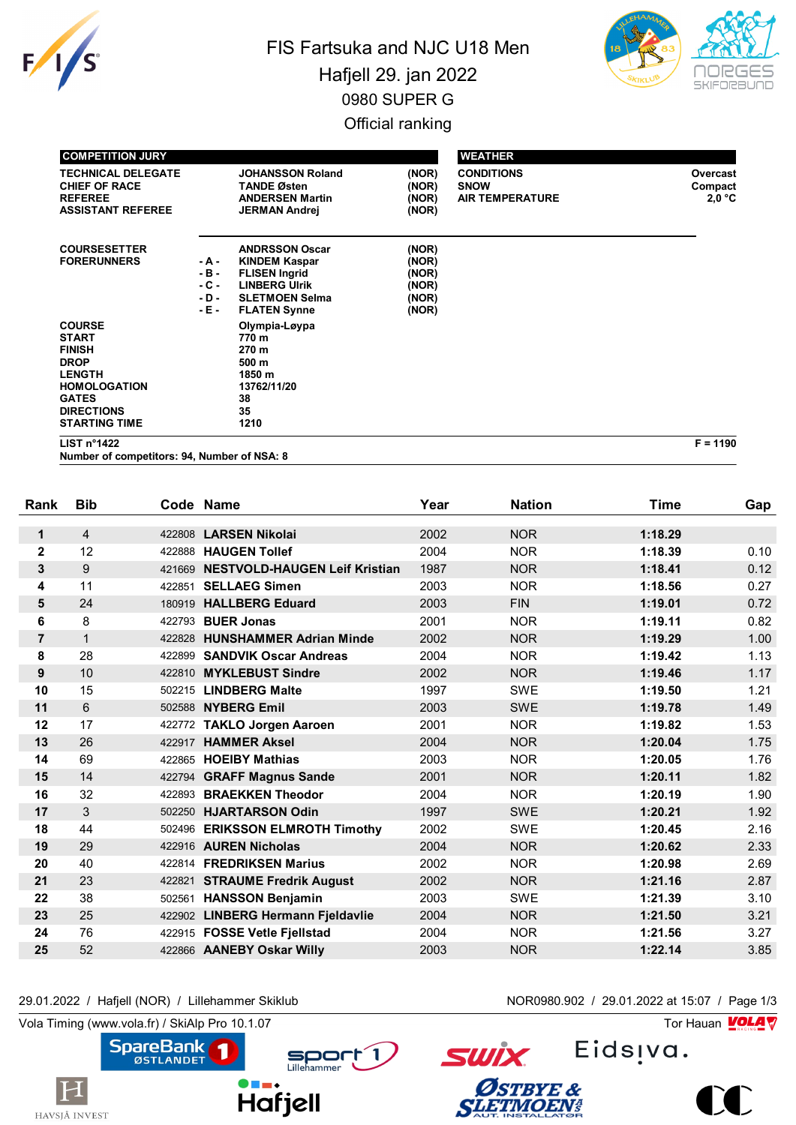

## FIS Fartsuka and NJC U18 Men Hafjell 29. jan 2022 0980 SUPER G Official ranking



| <b>COMPETITION JURY</b>                                                                                                                                            |                                             |                                                                                                                                               |                                                    | <b>WEATHER</b>                                             |                               |
|--------------------------------------------------------------------------------------------------------------------------------------------------------------------|---------------------------------------------|-----------------------------------------------------------------------------------------------------------------------------------------------|----------------------------------------------------|------------------------------------------------------------|-------------------------------|
| <b>TECHNICAL DELEGATE</b><br><b>CHIEF OF RACE</b><br><b>REFEREE</b><br><b>ASSISTANT REFEREE</b>                                                                    |                                             | <b>JOHANSSON Roland</b><br><b>TANDE Østen</b><br><b>ANDERSEN Martin</b><br><b>JERMAN Andrej</b>                                               | (NOR)<br>(NOR)<br>(NOR)<br>(NOR)                   | <b>CONDITIONS</b><br><b>SNOW</b><br><b>AIR TEMPERATURE</b> | Overcast<br>Compact<br>2,0 °C |
| <b>COURSESETTER</b><br><b>FORERUNNERS</b>                                                                                                                          | - A -<br>$-B -$<br>$-C -$<br>- D -<br>- E - | <b>ANDRSSON Oscar</b><br><b>KINDEM Kaspar</b><br><b>FLISEN Ingrid</b><br><b>LINBERG Ulrik</b><br><b>SLETMOEN Selma</b><br><b>FLATEN Synne</b> | (NOR)<br>(NOR)<br>(NOR)<br>(NOR)<br>(NOR)<br>(NOR) |                                                            |                               |
| <b>COURSE</b><br><b>START</b><br><b>FINISH</b><br><b>DROP</b><br><b>LENGTH</b><br><b>HOMOLOGATION</b><br><b>GATES</b><br><b>DIRECTIONS</b><br><b>STARTING TIME</b> |                                             | Olympia-Løypa<br>770 m<br>270 m<br>500 m<br>1850 m<br>13762/11/20<br>38<br>35<br>1210                                                         |                                                    |                                                            |                               |

**LIST n°1422 F = 1190**

**Number of competitors: 94, Number of NSA: 8**

| Rank           | <b>Bib</b>     |        | Code Name                            | Year | <b>Nation</b> | <b>Time</b> | Gap  |
|----------------|----------------|--------|--------------------------------------|------|---------------|-------------|------|
| $\mathbf 1$    | $\overline{4}$ |        | 422808 LARSEN Nikolai                | 2002 | <b>NOR</b>    | 1:18.29     |      |
| $\mathbf 2$    | 12             |        | 422888 HAUGEN Tollef                 | 2004 | <b>NOR</b>    | 1:18.39     | 0.10 |
| 3              | 9              | 421669 | <b>NESTVOLD-HAUGEN Leif Kristian</b> | 1987 | <b>NOR</b>    | 1:18.41     | 0.12 |
|                |                |        |                                      |      |               |             |      |
| 4              | 11             | 422851 | <b>SELLAEG Simen</b>                 | 2003 | <b>NOR</b>    | 1:18.56     | 0.27 |
| 5              | 24             | 180919 | <b>HALLBERG Eduard</b>               | 2003 | <b>FIN</b>    | 1:19.01     | 0.72 |
| 6              | 8              |        | 422793 <b>BUER Jonas</b>             | 2001 | <b>NOR</b>    | 1:19.11     | 0.82 |
| $\overline{7}$ | $\mathbf{1}$   | 422828 | <b>HUNSHAMMER Adrian Minde</b>       | 2002 | <b>NOR</b>    | 1:19.29     | 1.00 |
| 8              | 28             | 422899 | <b>SANDVIK Oscar Andreas</b>         | 2004 | <b>NOR</b>    | 1:19.42     | 1.13 |
| 9              | 10             | 422810 | <b>MYKLEBUST Sindre</b>              | 2002 | <b>NOR</b>    | 1:19.46     | 1.17 |
| 10             | 15             |        | 502215 LINDBERG Malte                | 1997 | <b>SWE</b>    | 1:19.50     | 1.21 |
| 11             | 6              |        | 502588 NYBERG Emil                   | 2003 | <b>SWE</b>    | 1:19.78     | 1.49 |
| 12             | 17             |        | 422772 TAKLO Jorgen Aaroen           | 2001 | <b>NOR</b>    | 1:19.82     | 1.53 |
| 13             | 26             | 422917 | <b>HAMMER Aksel</b>                  | 2004 | <b>NOR</b>    | 1:20.04     | 1.75 |
| 14             | 69             |        | 422865 HOEIBY Mathias                | 2003 | <b>NOR</b>    | 1:20.05     | 1.76 |
| 15             | 14             |        | 422794 GRAFF Magnus Sande            | 2001 | <b>NOR</b>    | 1:20.11     | 1.82 |
| 16             | 32             | 422893 | <b>BRAEKKEN Theodor</b>              | 2004 | <b>NOR</b>    | 1:20.19     | 1.90 |
| 17             | 3              |        | 502250 HJARTARSON Odin               | 1997 | <b>SWE</b>    | 1:20.21     | 1.92 |
| 18             | 44             |        | 502496 ERIKSSON ELMROTH Timothy      | 2002 | <b>SWE</b>    | 1:20.45     | 2.16 |
| 19             | 29             |        | 422916 AUREN Nicholas                | 2004 | <b>NOR</b>    | 1:20.62     | 2.33 |
| 20             | 40             |        | 422814 FREDRIKSEN Marius             | 2002 | <b>NOR</b>    | 1:20.98     | 2.69 |
| 21             | 23             |        | 422821 STRAUME Fredrik August        | 2002 | <b>NOR</b>    | 1:21.16     | 2.87 |
| 22             | 38             |        | 502561 HANSSON Benjamin              | 2003 | <b>SWE</b>    | 1:21.39     | 3.10 |
| 23             | 25             |        | 422902 LINBERG Hermann Fjeldavlie    | 2004 | <b>NOR</b>    | 1:21.50     | 3.21 |
| 24             | 76             |        | 422915 FOSSE Vetle Fjellstad         | 2004 | <b>NOR</b>    | 1:21.56     | 3.27 |
| 25             | 52             |        | 422866 AANEBY Oskar Willy            | 2003 | <b>NOR</b>    | 1:22.14     | 3.85 |
|                |                |        |                                      |      |               |             |      |

29.01.2022 / Hafjell (NOR) / Lillehammer Skiklub NOR0980.902 / 29.01.2022 at 15:07 / Page 1/3

Eids<sub>!va.</sub>

Vola Timing (www.vola.fr) / SkiAlp Pro 10.1.07

**Hafjell** 





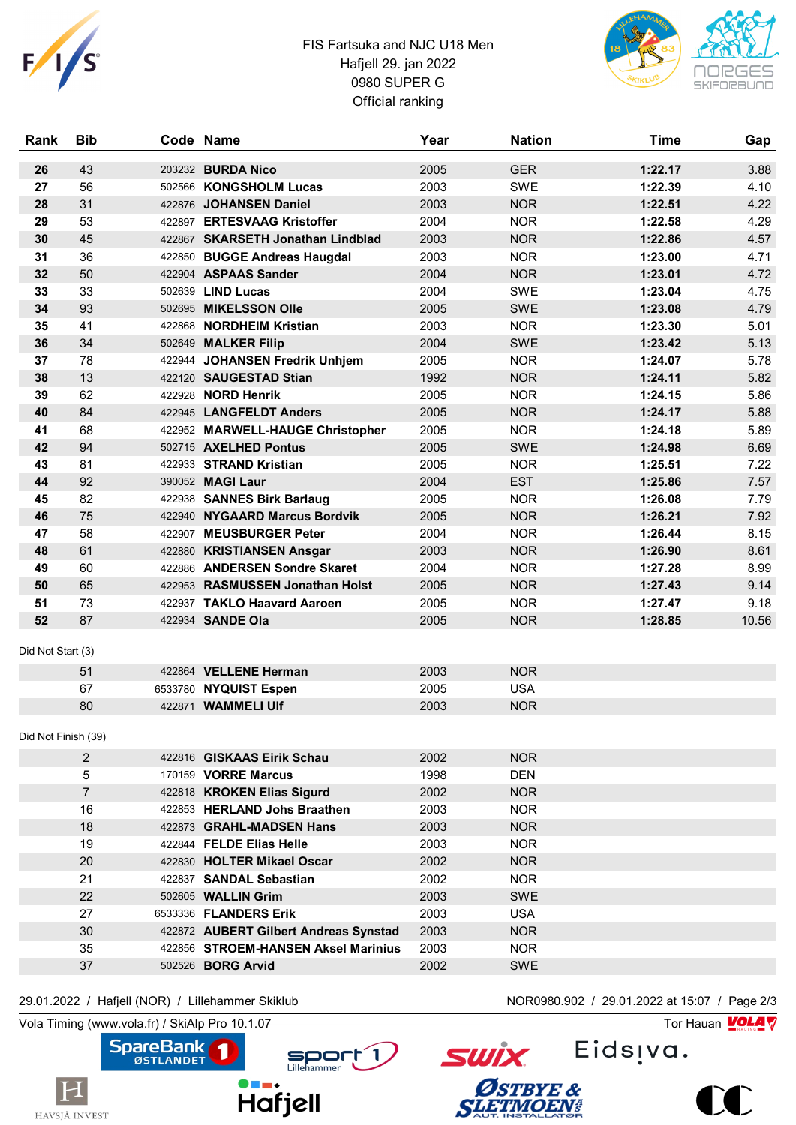

## FIS Fartsuka and NJC U18 Men Hafjell 29. jan 2022 0980 SUPER G Official ranking



| <b>Rank</b>         | <b>Bib</b>     | Code Name                             | Year | <b>Nation</b> | <b>Time</b> | Gap   |
|---------------------|----------------|---------------------------------------|------|---------------|-------------|-------|
| 26                  | 43             | 203232 BURDA Nico                     | 2005 | <b>GER</b>    | 1:22.17     | 3.88  |
| 27                  | 56             | 502566 KONGSHOLM Lucas                | 2003 | <b>SWE</b>    | 1:22.39     | 4.10  |
| 28                  | 31             | 422876 JOHANSEN Daniel                | 2003 | <b>NOR</b>    | 1:22.51     | 4.22  |
| 29                  | 53             | 422897 ERTESVAAG Kristoffer           | 2004 | <b>NOR</b>    | 1:22.58     | 4.29  |
| 30                  | 45             | 422867 SKARSETH Jonathan Lindblad     | 2003 | <b>NOR</b>    | 1:22.86     | 4.57  |
| 31                  | 36             | 422850 BUGGE Andreas Haugdal          | 2003 | <b>NOR</b>    | 1:23.00     | 4.71  |
| 32                  | 50             | 422904 ASPAAS Sander                  | 2004 | <b>NOR</b>    | 1:23.01     | 4.72  |
| 33                  | 33             | 502639 LIND Lucas                     | 2004 | <b>SWE</b>    | 1:23.04     | 4.75  |
| 34                  | 93             | 502695 MIKELSSON Olle                 | 2005 | <b>SWE</b>    | 1:23.08     | 4.79  |
| 35                  | 41             | 422868 NORDHEIM Kristian              | 2003 | <b>NOR</b>    | 1:23.30     | 5.01  |
| 36                  | 34             | 502649 MALKER Filip                   | 2004 | SWE           | 1:23.42     | 5.13  |
| 37                  | 78             | 422944 JOHANSEN Fredrik Unhjem        | 2005 | <b>NOR</b>    | 1:24.07     | 5.78  |
| 38                  | 13             | 422120 SAUGESTAD Stian                | 1992 | <b>NOR</b>    | 1:24.11     | 5.82  |
| 39                  | 62             | 422928 NORD Henrik                    | 2005 | <b>NOR</b>    | 1:24.15     | 5.86  |
| 40                  | 84             | 422945 LANGFELDT Anders               | 2005 | <b>NOR</b>    | 1:24.17     | 5.88  |
| 41                  | 68             | 422952 MARWELL-HAUGE Christopher      | 2005 | <b>NOR</b>    | 1:24.18     | 5.89  |
| 42                  | 94             | 502715 AXELHED Pontus                 | 2005 | <b>SWE</b>    | 1:24.98     | 6.69  |
| 43                  | 81             | 422933 STRAND Kristian                | 2005 | <b>NOR</b>    | 1:25.51     | 7.22  |
| 44                  | 92             | 390052 MAGI Laur                      | 2004 | <b>EST</b>    | 1:25.86     | 7.57  |
| 45                  | 82             | 422938 SANNES Birk Barlaug            | 2005 | <b>NOR</b>    | 1:26.08     | 7.79  |
| 46                  | 75             | 422940 NYGAARD Marcus Bordvik         | 2005 | <b>NOR</b>    | 1:26.21     | 7.92  |
| 47                  | 58             | 422907 MEUSBURGER Peter               | 2004 | <b>NOR</b>    | 1:26.44     | 8.15  |
| 48                  | 61             | 422880 KRISTIANSEN Ansgar             | 2003 | <b>NOR</b>    | 1:26.90     | 8.61  |
| 49                  | 60             | 422886 ANDERSEN Sondre Skaret         | 2004 | <b>NOR</b>    | 1:27.28     | 8.99  |
| 50                  | 65             | 422953 RASMUSSEN Jonathan Holst       | 2005 | <b>NOR</b>    | 1:27.43     | 9.14  |
| 51                  | 73             | 422937 TAKLO Haavard Aaroen           | 2005 | <b>NOR</b>    | 1:27.47     | 9.18  |
| 52                  | 87             | 422934 SANDE Ola                      | 2005 | <b>NOR</b>    | 1:28.85     | 10.56 |
| Did Not Start (3)   |                |                                       |      |               |             |       |
|                     | 51             | 422864 VELLENE Herman                 | 2003 | <b>NOR</b>    |             |       |
|                     | 67             | 6533780 NYQUIST Espen                 | 2005 | <b>USA</b>    |             |       |
|                     | 80             | 422871 WAMMELI UIf                    | 2003 | <b>NOR</b>    |             |       |
| Did Not Finish (39) |                |                                       |      |               |             |       |
|                     | 2              | 422816 GISKAAS Eirik Schau            | 2002 | <b>NOR</b>    |             |       |
|                     | 5              | 170159 VORRE Marcus                   | 1998 | <b>DEN</b>    |             |       |
|                     | $\overline{7}$ | 422818 KROKEN Elias Sigurd            | 2002 | <b>NOR</b>    |             |       |
|                     | 16             | 422853 HERLAND Johs Braathen          | 2003 | <b>NOR</b>    |             |       |
|                     | 18             | 422873 GRAHL-MADSEN Hans              | 2003 | <b>NOR</b>    |             |       |
|                     | 19             | 422844 FELDE Elias Helle              | 2003 | <b>NOR</b>    |             |       |
|                     | 20             | 422830 HOLTER Mikael Oscar            | 2002 | <b>NOR</b>    |             |       |
|                     | 21             | 422837 SANDAL Sebastian               | 2002 | <b>NOR</b>    |             |       |
|                     | 22             | 502605 WALLIN Grim                    | 2003 | SWE           |             |       |
|                     | 27             | 6533336 FLANDERS Erik                 | 2003 | <b>USA</b>    |             |       |
|                     | 30             | 422872 AUBERT Gilbert Andreas Synstad | 2003 | <b>NOR</b>    |             |       |
|                     | 35             | 422856 STROEM-HANSEN Aksel Marinius   | 2003 | <b>NOR</b>    |             |       |
|                     | 37             | 502526 <b>BORG Arvid</b>              | 2002 | SWE           |             |       |
|                     |                |                                       |      |               |             |       |

29.01.2022 / Hafjell (NOR) / Lillehammer Skiklub NOR0980.902 / 29.01.2022 at 15:07 / Page 2/3

Vola Timing (www.vola.fr) / SkiAlp Pro 10.1.07 Tor Hauan  $\sqrt{\frac{1}{2}}$ 







ØSTBYE &

Eids<sub>!va</sub>.